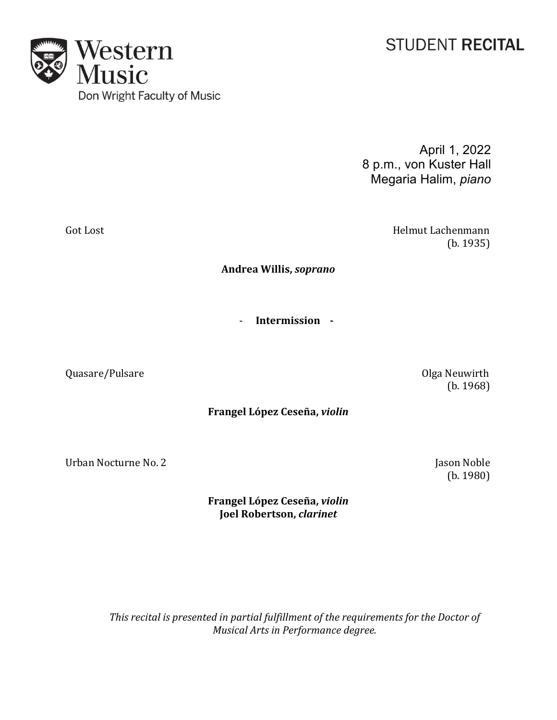## **STUDENT RECITAL**

April 1, 2022 8 p.m., von Kuster Hall Megaria Halim, *piano*

Got Lost **Material Contract Contract Contract Contract Contract Contract Contract Contract Contract Contract Contract Contract Contract Contract Contract Contract Contract Contract Contract Contract Contract Contract Contr (b.** 1935)

**Andrea Willis,** *soprano*

- **Intermission -**

Quasare/Pulsare **and Contact Contact Contact Contact Contact Contact Contact Contact Contact Contact Contact Contact Contact Contact Contact Contact Contact Contact Contact Contact Contact Contact Contact Contact Contact C** 

**Frangel López Ceseña,** *violin*

Urban Nocturne No. 2 Jason Noble

**Frangel López Ceseña,** *violin* **Joel Robertson,** *clarinet*

This recital is presented in partial fulfillment of the requirements for the Doctor of *Musical Arts in Performance degree.* 

Western<br>Music Don Wright Faculty of Music

 (b. 1968)

 (b. 1980)